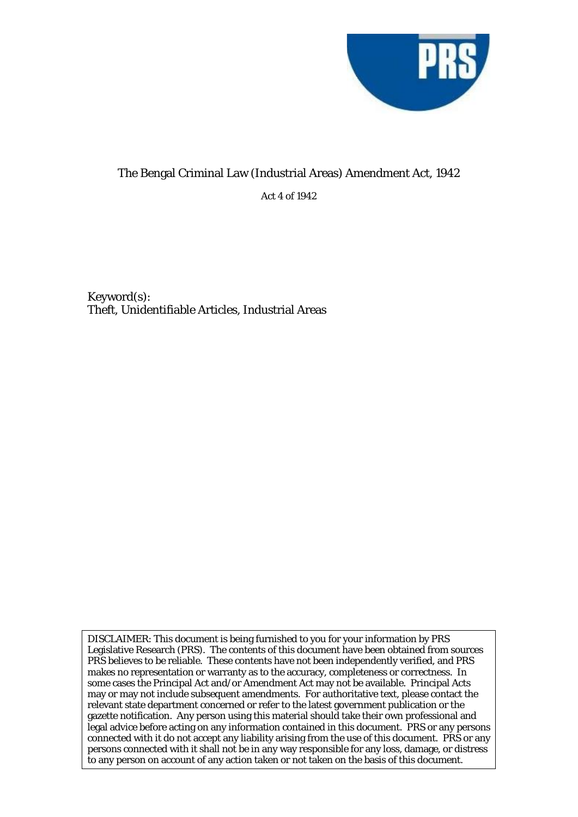

# The Bengal Criminal Law (Industrial Areas) Amendment Act, 1942

Act 4 of 1942

Keyword(s): Theft, Unidentifiable Articles, Industrial Areas

DISCLAIMER: This document is being furnished to you for your information by PRS Legislative Research (PRS). The contents of this document have been obtained from sources PRS believes to be reliable. These contents have not been independently verified, and PRS makes no representation or warranty as to the accuracy, completeness or correctness. In some cases the Principal Act and/or Amendment Act may not be available. Principal Acts may or may not include subsequent amendments. For authoritative text, please contact the relevant state department concerned or refer to the latest government publication or the gazette notification. Any person using this material should take their own professional and legal advice before acting on any information contained in this document. PRS or any persons connected with it do not accept any liability arising from the use of this document. PRS or any persons connected with it shall not be in any way responsible for any loss, damage, or distress to any person on account of any action taken or not taken on the basis of this document.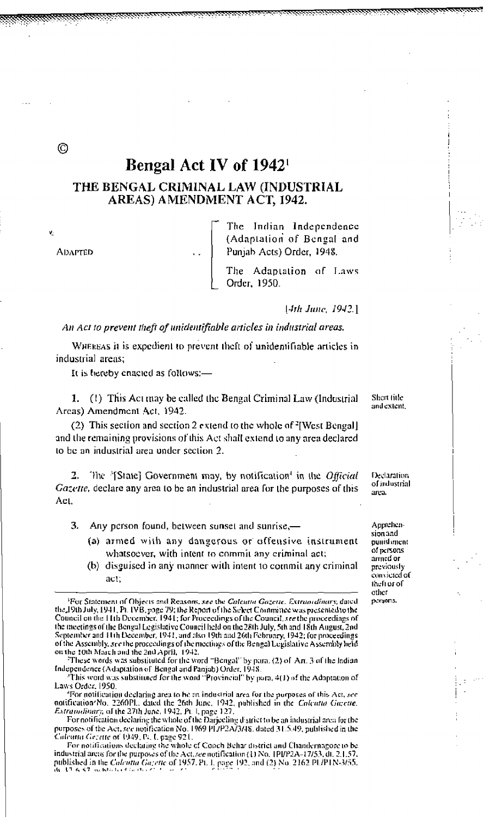## Bengal Act IV of 1942

### THE BENGAL CRIMINAL LAW (INDUSTRIAL AREAS) AMENDMENT ACT, 1942.

**ADAPTED** 

The Indian Independence (Adaptation of Bengal and Punjab Acts) Order, 1948.

The Adaptation of Laws Order, 1950.

[4th June, 1942.]

An Act to prevent theft of unidentifiable articles in industrial areas.

WHEREAS it is expedient to prevent theft of unidentifiable articles in industrial areas;

It is hereby enacted as follows:-

1. (1) This Act may be called the Bengal Criminal Law (Industrial Areas) Amendment Act, 1942.

(2) This section and section 2 extend to the whole of <sup>2</sup>[West Bengal] and the remaining provisions of this Act shall extend to any area declared to be an industrial area under section 2.

2. The '[State] Government may, by notification' in the Official Gazette, declare any area to be an industrial area for the purposes of this Act.

3. Any person found, between sunset and sunrise,—

- (a) armed with any dangerous or offensive instrument whatsoever, with intent to commit any criminal act;
- (b) disguised in any manner with intent to commit any criminal act.

These words was substituted for the word "Bengal" by para. (2) of Art. 3 of the Indian Independence (Adaptation of Bengal and Panjab) Order, 1948.

<sup>3</sup>This word was substituted for the word "Provincial" by para, 4(1) of the Adaptation of Laws Order, 1950.

'For notification declaring area to be an industrial area for the purposes of this Act, see notification? No. 2260PL. dated the 26th June, 1942, published in the Calculate Gazette.<br>Extraudinary, of the 27th June, 1942. Pt. 1, page 127.<br>For notification declaring the whole of the Darjeeling d'strict to be an indus

purposes of the Act, see notification No. 1969 PL/P2A/3/48, dated 31.5.49, published in the Calcutta Gezette of 1949, Pc. I. page 921.

For notifications declaring the whole of Cooch Behar district and Chandernagore to be industrial areas for the purposes of the Act, see notification (1) No. 1PI/P2A-17/53, dt. 2.1.57, published in the Calculta Gazette of 1957. Pt. 1, page 192, and (2) No. 2162 PL/P1N-3/55.

Shert fille and extent.

Declaration of industrial area.

Apprehension and punishment of persons arned or previously convicted of theft or of other persons.

O

<sup>&</sup>lt;sup>1</sup>For Statement of Objects and Reasons, see the Calcutta Gozette, Extraordinary, dated the 19th July, 1941. Pt. IVB, page 79; the Report of the Select Committee was presented to the Council on the 11th December, 1941; for Proceedings of the Council, see the proceedings of the meetings of the Bengal Legislative Council held on the 28th July, 5th and 18th August, 2nd September and 11th December, 1941, and also 19th and 26th February, 1942; for proceedings of the Assembly, see the proceedings of the meetings of the Bengal Legislative Assembly held on the 10th March and the 2nd April, 1942.